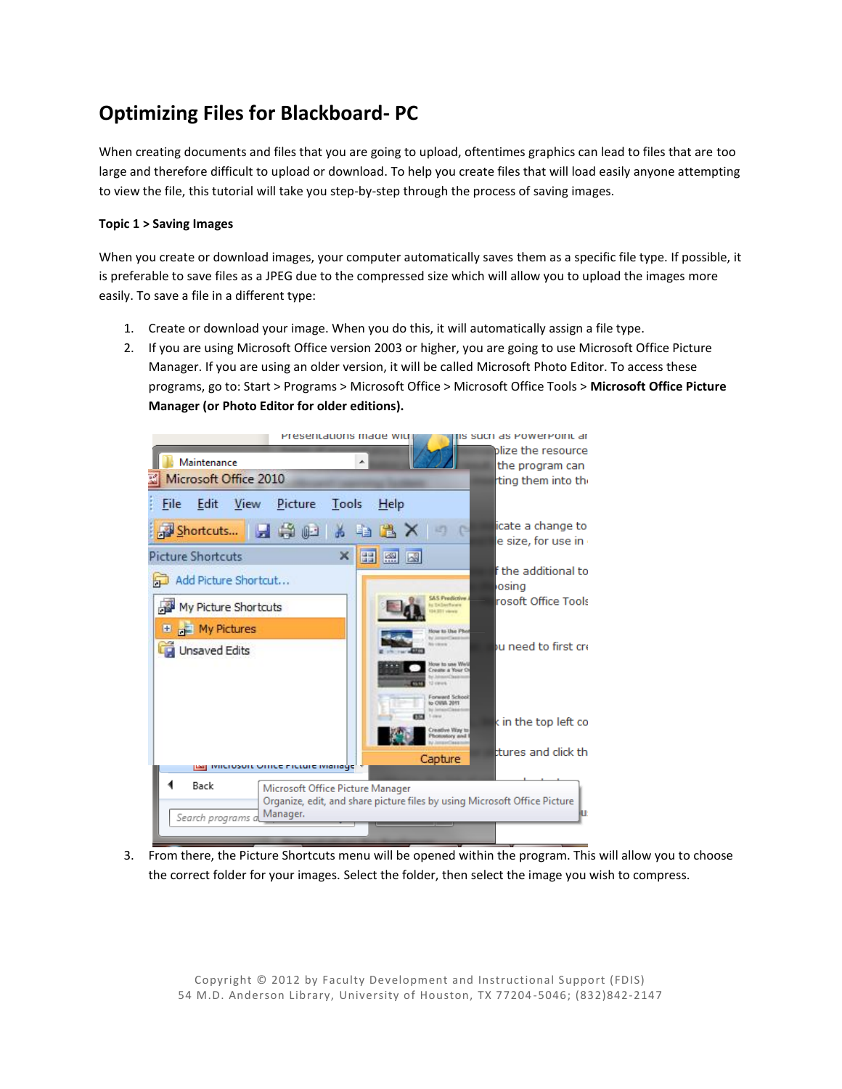## **Optimizing Files for Blackboard- PC**

When creating documents and files that you are going to upload, oftentimes graphics can lead to files that are too large and therefore difficult to upload or download. To help you create files that will load easily anyone attempting to view the file, this tutorial will take you step-by-step through the process of saving images.

## **Topic 1 > Saving Images**

When you create or download images, your computer automatically saves them as a specific file type. If possible, it is preferable to save files as a JPEG due to the compressed size which will allow you to upload the images more easily. To save a file in a different type:

- 1. Create or download your image. When you do this, it will automatically assign a file type.
- 2. If you are using Microsoft Office version 2003 or higher, you are going to use Microsoft Office Picture Manager. If you are using an older version, it will be called Microsoft Photo Editor. To access these programs, go to: Start > Programs > Microsoft Office > Microsoft Office Tools > **Microsoft Office Picture Manager (or Photo Editor for older editions).**



3. From there, the Picture Shortcuts menu will be opened within the program. This will allow you to choose the correct folder for your images. Select the folder, then select the image you wish to compress.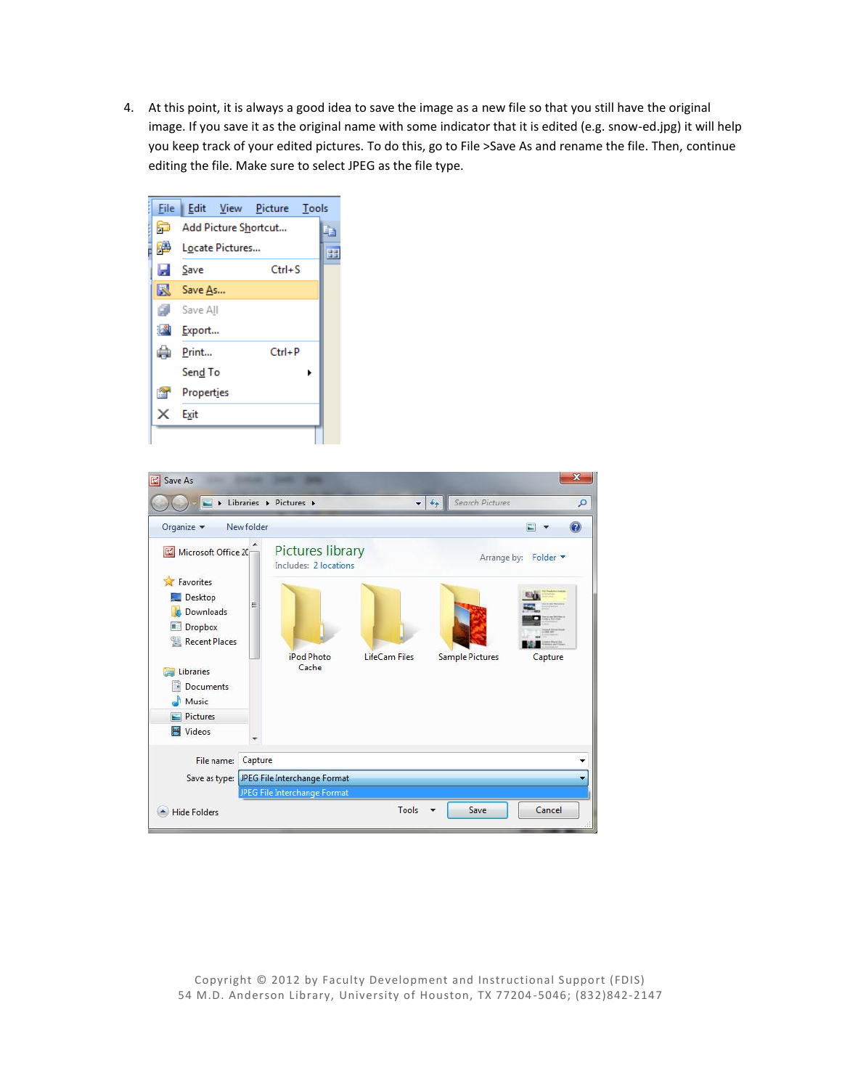4. At this point, it is always a good idea to save the image as a new file so that you still have the original image. If you save it as the original name with some indicator that it is edited (e.g. snow-ed.jpg) it will help you keep track of your edited pictures. To do this, go to File >Save As and rename the file. Then, continue editing the file. Make sure to select JPEG as the file type.





Copyright © 2012 by Faculty Development and Instructional Support (FDIS) 54 M.D. Anderson Library, University of Houston, TX 77204 -5046; (832)842-2147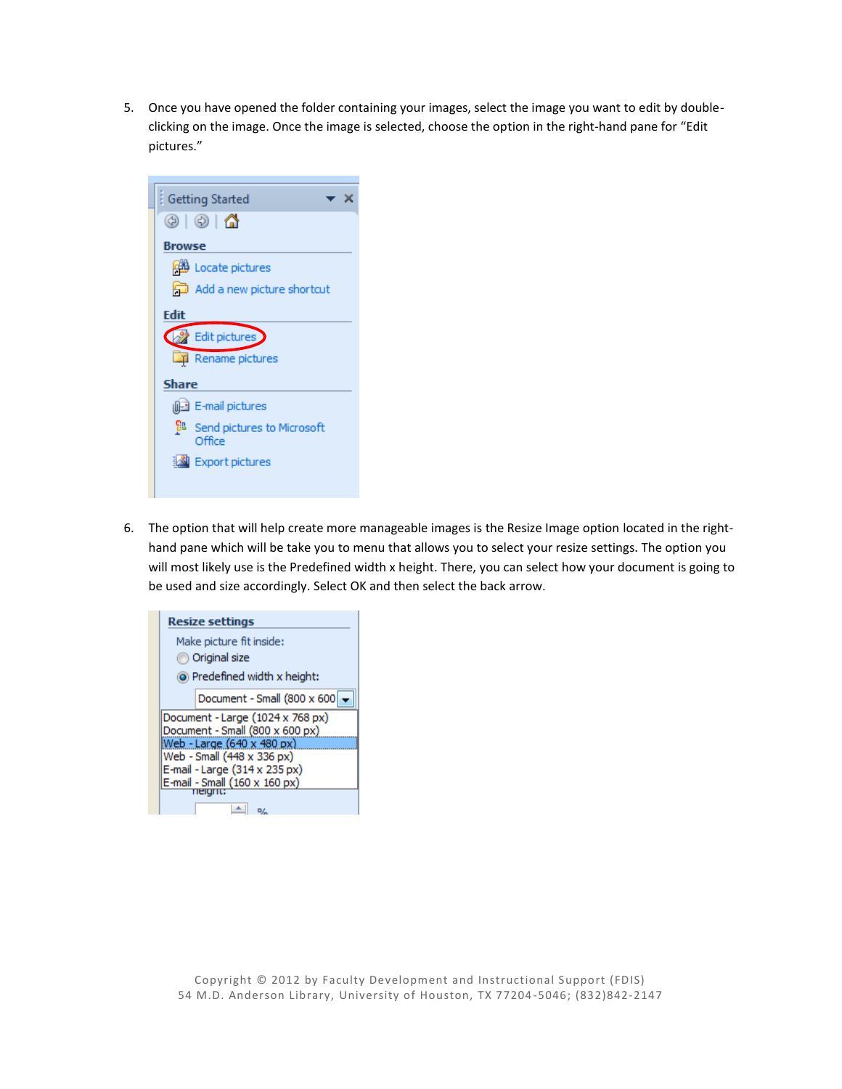5. Once you have opened the folder containing your images, select the image you want to edit by doubleclicking on the image. Once the image is selected, choose the option in the right-hand pane for "Edit pictures."



6. The option that will help create more manageable images is the Resize Image option located in the righthand pane which will be take you to menu that allows you to select your resize settings. The option you will most likely use is the Predefined width x height. There, you can select how your document is going to be used and size accordingly. Select OK and then select the back arrow.

| <b>Resize settings</b>                          |
|-------------------------------------------------|
| Make picture fit inside:                        |
| Original size                                   |
| (a) Predefined width x height:                  |
| Document - Small (800 x 600                     |
| Document - Large (1024 x 768 px)                |
| Document - Small (800 x 600 px)                 |
| Web - Large (640 x 480 px)                      |
| Web - Small (448 x 336 px)                      |
| E-mail - Large (314 x 235 px)                   |
| $E$ -mail - Small $(160 \times 160 \text{ px})$ |
|                                                 |
|                                                 |